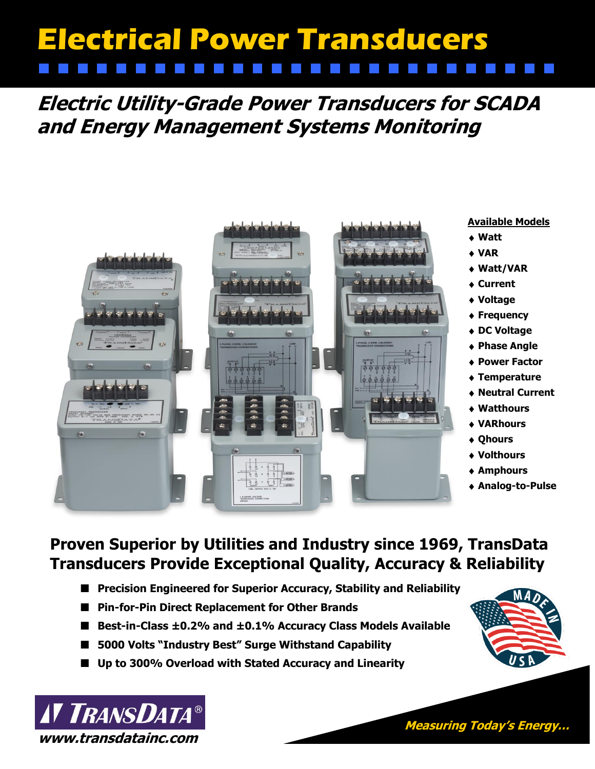# **Electrical Power Transducers**

**Electric Utility-Grade Power Transducers for SCADA and Energy Management Systems Monitoring** 



#### **Available Models**

- **Watt**
- **VAR**
- **Watt/VAR**
- **Current**
- **Voltage**
- **Frequency**
- **DC Voltage**
- **Phase Angle**
- **Power Factor**
- **Temperature**
- **Neutral Current**
- **Watthours**
- **VARhours**
- **Qhours**
- **Volthours**
- **Amphours**
- **Analog-to-Pulse**

S I

## **Proven Superior by Utilities and Industry since 1969, TransData Transducers Provide Exceptional Quality, Accuracy & Reliability**

- **Precision Engineered for Superior Accuracy, Stability and Reliability**
- **Pin-for-Pin Direct Replacement for Other Brands**
- **Best-in-Class ±0.2% and ±0.1% Accuracy Class Models Available**
- **5000 Volts "Industry Best" Surge Withstand Capability**
- **Up to 300% Overload with Stated Accuracy and Linearity**



**Measuring Today's Energy…**